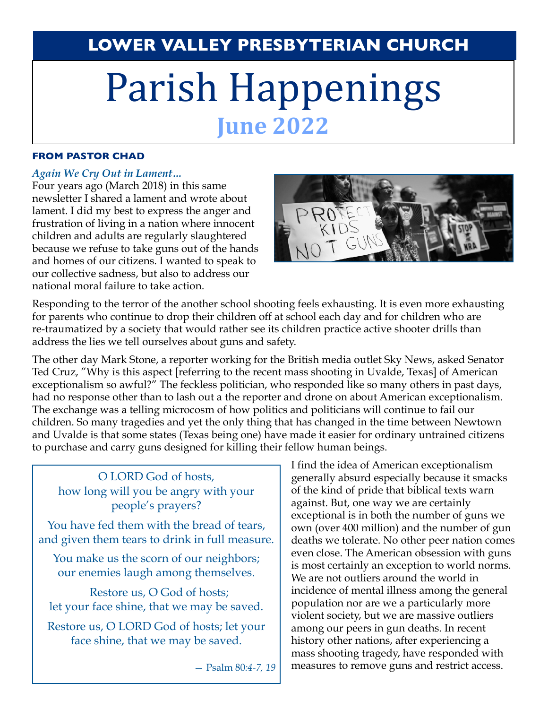# **LOWER VALLEY PRESBYTERIAN CHURCH**

# Parish Happenings **June 2022**

### **FROM PASTOR CHAD**

### *Again We Cry Out in Lament…*

Four years ago (March 2018) in this same newsletter I shared a lament and wrote about lament. I did my best to express the anger and frustration of living in a nation where innocent children and adults are regularly slaughtered because we refuse to take guns out of the hands and homes of our citizens. I wanted to speak to our collective sadness, but also to address our national moral failure to take action.



Responding to the terror of the another school shooting feels exhausting. It is even more exhausting for parents who continue to drop their children off at school each day and for children who are re-traumatized by a society that would rather see its children practice active shooter drills than address the lies we tell ourselves about guns and safety.

The other day Mark Stone, a reporter working for the British media outlet Sky News, asked Senator Ted Cruz, "Why is this aspect [referring to the recent mass shooting in Uvalde, Texas] of American exceptionalism so awful?" The feckless politician, who responded like so many others in past days, had no response other than to lash out a the reporter and drone on about American exceptionalism. The exchange was a telling microcosm of how politics and politicians will continue to fail our children. So many tragedies and yet the only thing that has changed in the time between Newtown and Uvalde is that some states (Texas being one) have made it easier for ordinary untrained citizens to purchase and carry guns designed for killing their fellow human beings.

# O LORD God of hosts, how long will you be angry with your people's prayers?

You have fed them with the bread of tears, and given them tears to drink in full measure.

You make us the scorn of our neighbors; our enemies laugh among themselves.

 Restore us, O God of hosts; let your face shine, that we may be saved.

Restore us, O LORD God of hosts; let your face shine, that we may be saved.

— Psalm 80*:4-7, 19*

I find the idea of American exceptionalism generally absurd especially because it smacks of the kind of pride that biblical texts warn against. But, one way we are certainly exceptional is in both the number of guns we own (over 400 million) and the number of gun deaths we tolerate. No other peer nation comes even close. The American obsession with guns is most certainly an exception to world norms. We are not outliers around the world in incidence of mental illness among the general population nor are we a particularly more violent society, but we are massive outliers among our peers in gun deaths. In recent history other nations, after experiencing a mass shooting tragedy, have responded with measures to remove guns and restrict access.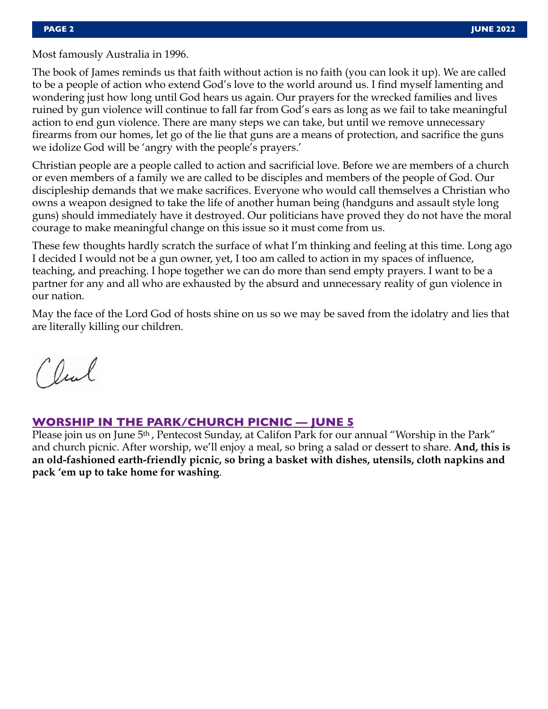Most famously Australia in 1996.

The book of James reminds us that faith without action is no faith (you can look it up). We are called to be a people of action who extend God's love to the world around us. I find myself lamenting and wondering just how long until God hears us again. Our prayers for the wrecked families and lives ruined by gun violence will continue to fall far from God's ears as long as we fail to take meaningful action to end gun violence. There are many steps we can take, but until we remove unnecessary firearms from our homes, let go of the lie that guns are a means of protection, and sacrifice the guns we idolize God will be 'angry with the people's prayers.'

Christian people are a people called to action and sacrificial love. Before we are members of a church or even members of a family we are called to be disciples and members of the people of God. Our discipleship demands that we make sacrifices. Everyone who would call themselves a Christian who owns a weapon designed to take the life of another human being (handguns and assault style long guns) should immediately have it destroyed. Our politicians have proved they do not have the moral courage to make meaningful change on this issue so it must come from us.

These few thoughts hardly scratch the surface of what I'm thinking and feeling at this time. Long ago I decided I would not be a gun owner, yet, I too am called to action in my spaces of influence, teaching, and preaching. I hope together we can do more than send empty prayers. I want to be a partner for any and all who are exhausted by the absurd and unnecessary reality of gun violence in our nation.

May the face of the Lord God of hosts shine on us so we may be saved from the idolatry and lies that are literally killing our children.

Clul

# **WORSHIP IN THE PARK/CHURCH PICNIC — JUNE 5**

Please join us on June 5<sup>th</sup>, Pentecost Sunday, at Califon Park for our annual "Worship in the Park" and church picnic. After worship, we'll enjoy a meal, so bring a salad or dessert to share. **And, this is an old-fashioned earth-friendly picnic, so bring a basket with dishes, utensils, cloth napkins and pack 'em up to take home for washing**.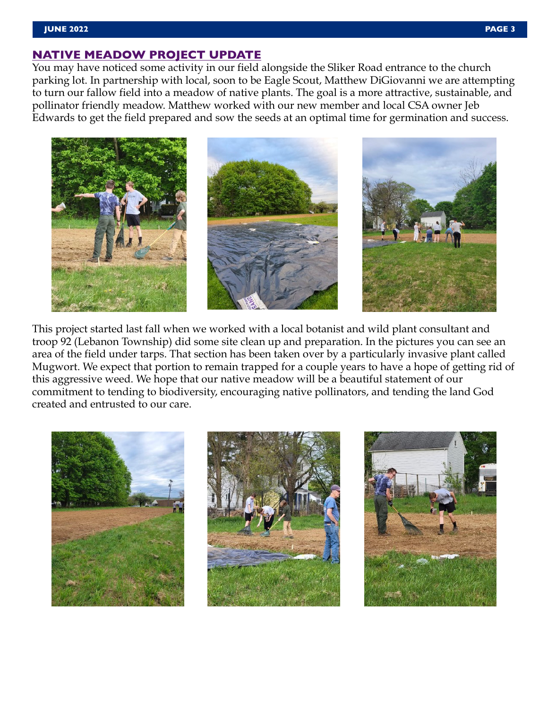### **JUNE 2022 PAGE 3**

# **NATIVE MEADOW PROJECT UPDATE**

You may have noticed some activity in our field alongside the Sliker Road entrance to the church parking lot. In partnership with local, soon to be Eagle Scout, Matthew DiGiovanni we are attempting to turn our fallow field into a meadow of native plants. The goal is a more attractive, sustainable, and pollinator friendly meadow. Matthew worked with our new member and local CSA owner Jeb Edwards to get the field prepared and sow the seeds at an optimal time for germination and success.



This project started last fall when we worked with a local botanist and wild plant consultant and troop 92 (Lebanon Township) did some site clean up and preparation. In the pictures you can see an area of the field under tarps. That section has been taken over by a particularly invasive plant called Mugwort. We expect that portion to remain trapped for a couple years to have a hope of getting rid of this aggressive weed. We hope that our native meadow will be a beautiful statement of our commitment to tending to biodiversity, encouraging native pollinators, and tending the land God created and entrusted to our care.





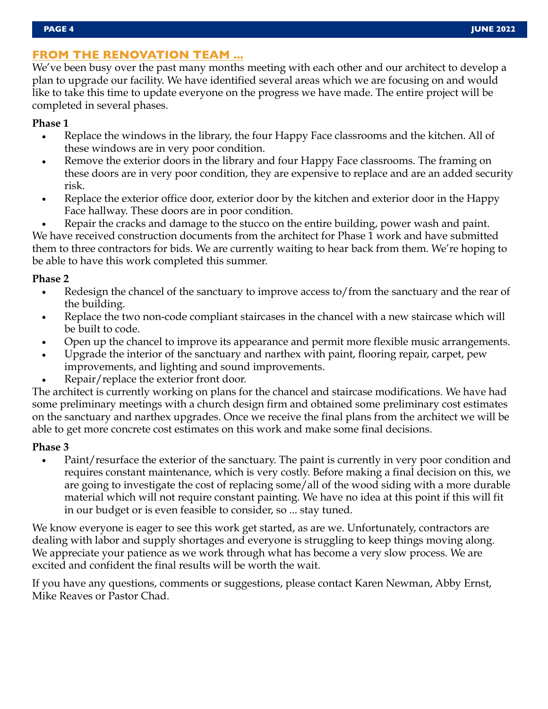# **FROM THE RENOVATION TEAM ...**

We've been busy over the past many months meeting with each other and our architect to develop a plan to upgrade our facility. We have identified several areas which we are focusing on and would like to take this time to update everyone on the progress we have made. The entire project will be completed in several phases.

# **Phase 1**

- Replace the windows in the library, the four Happy Face classrooms and the kitchen. All of these windows are in very poor condition.
- Remove the exterior doors in the library and four Happy Face classrooms. The framing on these doors are in very poor condition, they are expensive to replace and are an added security risk.
- Replace the exterior office door, exterior door by the kitchen and exterior door in the Happy Face hallway. These doors are in poor condition.
- Repair the cracks and damage to the stucco on the entire building, power wash and paint. We have received construction documents from the architect for Phase 1 work and have submitted them to three contractors for bids. We are currently waiting to hear back from them. We're hoping to be able to have this work completed this summer.

# **Phase 2**

- Redesign the chancel of the sanctuary to improve access to/from the sanctuary and the rear of the building.
- Replace the two non-code compliant staircases in the chancel with a new staircase which will be built to code.
- Open up the chancel to improve its appearance and permit more flexible music arrangements.
- Upgrade the interior of the sanctuary and narthex with paint, flooring repair, carpet, pew improvements, and lighting and sound improvements.
- Repair/replace the exterior front door.

The architect is currently working on plans for the chancel and staircase modifications. We have had some preliminary meetings with a church design firm and obtained some preliminary cost estimates on the sanctuary and narthex upgrades. Once we receive the final plans from the architect we will be able to get more concrete cost estimates on this work and make some final decisions.

# **Phase 3**

• Paint/resurface the exterior of the sanctuary. The paint is currently in very poor condition and requires constant maintenance, which is very costly. Before making a final decision on this, we are going to investigate the cost of replacing some/all of the wood siding with a more durable material which will not require constant painting. We have no idea at this point if this will fit in our budget or is even feasible to consider, so ... stay tuned.

We know everyone is eager to see this work get started, as are we. Unfortunately, contractors are dealing with labor and supply shortages and everyone is struggling to keep things moving along. We appreciate your patience as we work through what has become a very slow process. We are excited and confident the final results will be worth the wait.

If you have any questions, comments or suggestions, please contact Karen Newman, Abby Ernst, Mike Reaves or Pastor Chad.